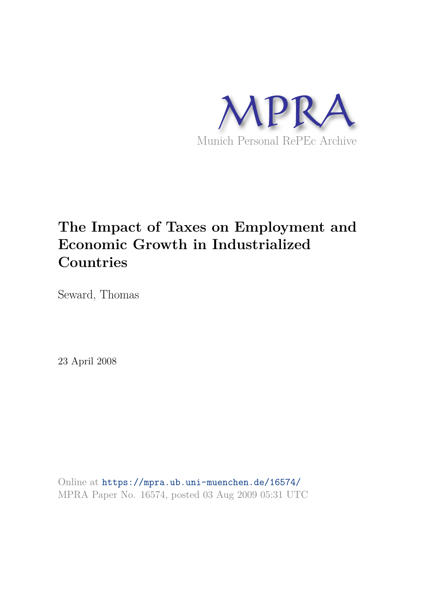

# **The Impact of Taxes on Employment and Economic Growth in Industrialized Countries**

Seward, Thomas

23 April 2008

Online at https://mpra.ub.uni-muenchen.de/16574/ MPRA Paper No. 16574, posted 03 Aug 2009 05:31 UTC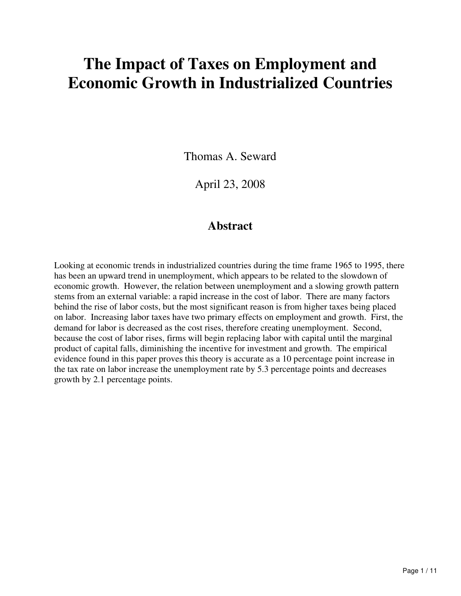# **The Impact of Taxes on Employment and Economic Growth in Industrialized Countries**

Thomas A. Seward

April 23, 2008

# **Abstract**

Looking at economic trends in industrialized countries during the time frame 1965 to 1995, there has been an upward trend in unemployment, which appears to be related to the slowdown of economic growth. However, the relation between unemployment and a slowing growth pattern stems from an external variable: a rapid increase in the cost of labor. There are many factors behind the rise of labor costs, but the most significant reason is from higher taxes being placed on labor. Increasing labor taxes have two primary effects on employment and growth. First, the demand for labor is decreased as the cost rises, therefore creating unemployment. Second, because the cost of labor rises, firms will begin replacing labor with capital until the marginal product of capital falls, diminishing the incentive for investment and growth. The empirical evidence found in this paper proves this theory is accurate as a 10 percentage point increase in the tax rate on labor increase the unemployment rate by 5.3 percentage points and decreases growth by 2.1 percentage points.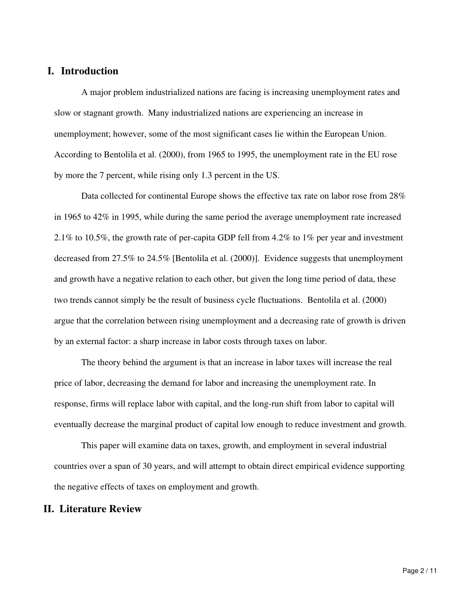# **I. Introduction**

A major problem industrialized nations are facing is increasing unemployment rates and slow or stagnant growth. Many industrialized nations are experiencing an increase in unemployment; however, some of the most significant cases lie within the European Union. According to Bentolila et al. (2000), from 1965 to 1995, the unemployment rate in the EU rose by more the 7 percent, while rising only 1.3 percent in the US.

Data collected for continental Europe shows the effective tax rate on labor rose from 28% in 1965 to 42% in 1995, while during the same period the average unemployment rate increased 2.1% to 10.5%, the growth rate of per-capita GDP fell from 4.2% to 1% per year and investment decreased from 27.5% to 24.5% [Bentolila et al. (2000)]. Evidence suggests that unemployment and growth have a negative relation to each other, but given the long time period of data, these two trends cannot simply be the result of business cycle fluctuations. Bentolila et al. (2000) argue that the correlation between rising unemployment and a decreasing rate of growth is driven by an external factor: a sharp increase in labor costs through taxes on labor.

The theory behind the argument is that an increase in labor taxes will increase the real price of labor, decreasing the demand for labor and increasing the unemployment rate. In response, firms will replace labor with capital, and the long-run shift from labor to capital will eventually decrease the marginal product of capital low enough to reduce investment and growth.

This paper will examine data on taxes, growth, and employment in several industrial countries over a span of 30 years, and will attempt to obtain direct empirical evidence supporting the negative effects of taxes on employment and growth.

#### **II. Literature Review**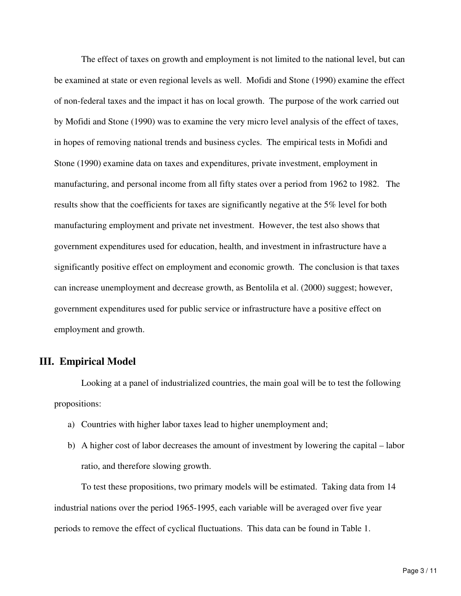The effect of taxes on growth and employment is not limited to the national level, but can be examined at state or even regional levels as well. Mofidi and Stone (1990) examine the effect of non-federal taxes and the impact it has on local growth. The purpose of the work carried out by Mofidi and Stone (1990) was to examine the very micro level analysis of the effect of taxes, in hopes of removing national trends and business cycles. The empirical tests in Mofidi and Stone (1990) examine data on taxes and expenditures, private investment, employment in manufacturing, and personal income from all fifty states over a period from 1962 to 1982. The results show that the coefficients for taxes are significantly negative at the 5% level for both manufacturing employment and private net investment. However, the test also shows that government expenditures used for education, health, and investment in infrastructure have a significantly positive effect on employment and economic growth. The conclusion is that taxes can increase unemployment and decrease growth, as Bentolila et al. (2000) suggest; however, government expenditures used for public service or infrastructure have a positive effect on employment and growth.

#### **III. Empirical Model**

Looking at a panel of industrialized countries, the main goal will be to test the following propositions:

- a) Countries with higher labor taxes lead to higher unemployment and;
- b) A higher cost of labor decreases the amount of investment by lowering the capital labor ratio, and therefore slowing growth.

To test these propositions, two primary models will be estimated. Taking data from 14 industrial nations over the period 1965-1995, each variable will be averaged over five year periods to remove the effect of cyclical fluctuations. This data can be found in Table 1.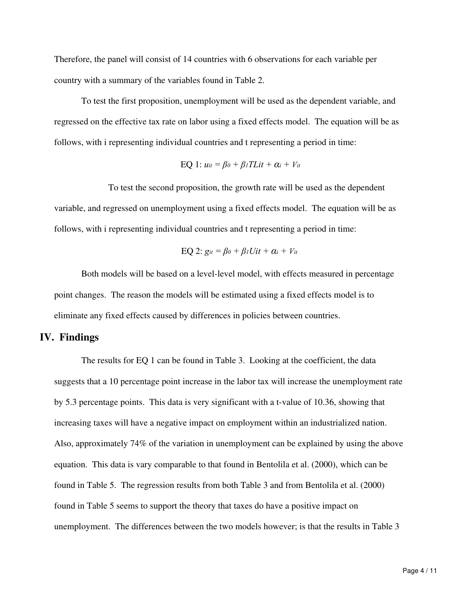Therefore, the panel will consist of 14 countries with 6 observations for each variable per country with a summary of the variables found in Table 2.

To test the first proposition, unemployment will be used as the dependent variable, and regressed on the effective tax rate on labor using a fixed effects model. The equation will be as follows, with i representing individual countries and t representing a period in time:

$$
EQ 1: u_{it} = \beta_0 + \beta_1 T L i t + \alpha_i + V_{it}
$$

To test the second proposition, the growth rate will be used as the dependent variable, and regressed on unemployment using a fixed effects model. The equation will be as follows, with i representing individual countries and t representing a period in time:

$$
EQ 2: git = \beta_0 + \beta_1 Uit + \alpha_i + Vi
$$

Both models will be based on a level-level model, with effects measured in percentage point changes. The reason the models will be estimated using a fixed effects model is to eliminate any fixed effects caused by differences in policies between countries.

### **IV. Findings**

The results for EQ 1 can be found in Table 3. Looking at the coefficient, the data suggests that a 10 percentage point increase in the labor tax will increase the unemployment rate by 5.3 percentage points. This data is very significant with a t-value of 10.36, showing that increasing taxes will have a negative impact on employment within an industrialized nation. Also, approximately 74% of the variation in unemployment can be explained by using the above equation. This data is vary comparable to that found in Bentolila et al. (2000), which can be found in Table 5. The regression results from both Table 3 and from Bentolila et al. (2000) found in Table 5 seems to support the theory that taxes do have a positive impact on unemployment. The differences between the two models however; is that the results in Table 3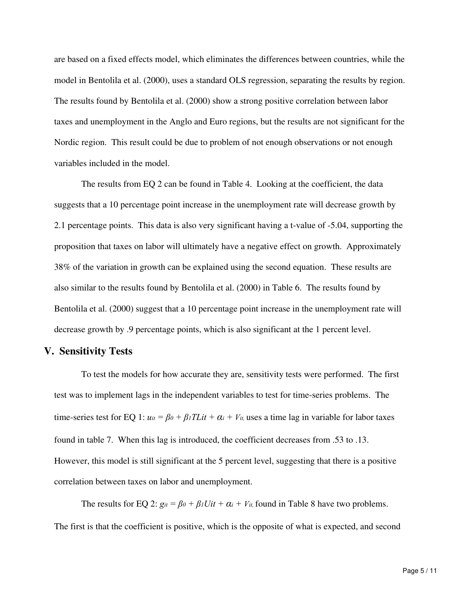are based on a fixed effects model, which eliminates the differences between countries, while the model in Bentolila et al. (2000), uses a standard OLS regression, separating the results by region. The results found by Bentolila et al. (2000) show a strong positive correlation between labor taxes and unemployment in the Anglo and Euro regions, but the results are not significant for the Nordic region. This result could be due to problem of not enough observations or not enough variables included in the model.

The results from EQ 2 can be found in Table 4. Looking at the coefficient, the data suggests that a 10 percentage point increase in the unemployment rate will decrease growth by 2.1 percentage points. This data is also very significant having a t-value of -5.04, supporting the proposition that taxes on labor will ultimately have a negative effect on growth. Approximately 38% of the variation in growth can be explained using the second equation. These results are also similar to the results found by Bentolila et al. (2000) in Table 6. The results found by Bentolila et al. (2000) suggest that a 10 percentage point increase in the unemployment rate will decrease growth by .9 percentage points, which is also significant at the 1 percent level.

#### **V. Sensitivity Tests**

To test the models for how accurate they are, sensitivity tests were performed. The first test was to implement lags in the independent variables to test for time-series problems. The time-series test for EQ 1:  $u_{tt} = \beta_0 + \beta_1 T L i t + \alpha_i + V_{it}$ , uses a time lag in variable for labor taxes found in table 7. When this lag is introduced, the coefficient decreases from .53 to .13. However, this model is still significant at the 5 percent level, suggesting that there is a positive correlation between taxes on labor and unemployment.

The results for EQ 2:  $g_{it} = \beta_0 + \beta_1 Uit + \alpha_i + V_{it}$ , found in Table 8 have two problems. The first is that the coefficient is positive, which is the opposite of what is expected, and second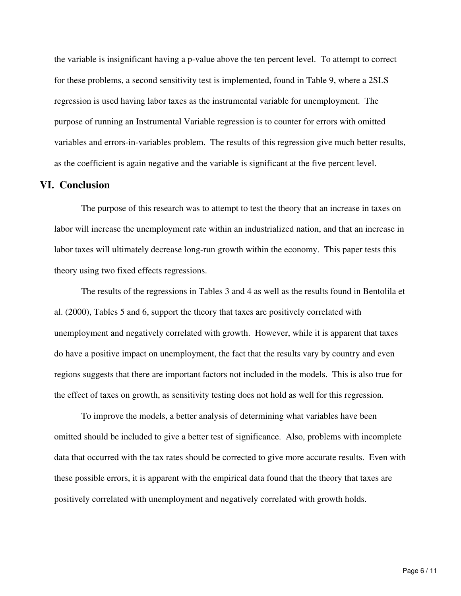the variable is insignificant having a p-value above the ten percent level. To attempt to correct for these problems, a second sensitivity test is implemented, found in Table 9, where a 2SLS regression is used having labor taxes as the instrumental variable for unemployment. The purpose of running an Instrumental Variable regression is to counter for errors with omitted variables and errors-in-variables problem. The results of this regression give much better results, as the coefficient is again negative and the variable is significant at the five percent level.

#### **VI. Conclusion**

The purpose of this research was to attempt to test the theory that an increase in taxes on labor will increase the unemployment rate within an industrialized nation, and that an increase in labor taxes will ultimately decrease long-run growth within the economy. This paper tests this theory using two fixed effects regressions.

The results of the regressions in Tables 3 and 4 as well as the results found in Bentolila et al. (2000), Tables 5 and 6, support the theory that taxes are positively correlated with unemployment and negatively correlated with growth. However, while it is apparent that taxes do have a positive impact on unemployment, the fact that the results vary by country and even regions suggests that there are important factors not included in the models. This is also true for the effect of taxes on growth, as sensitivity testing does not hold as well for this regression.

To improve the models, a better analysis of determining what variables have been omitted should be included to give a better test of significance. Also, problems with incomplete data that occurred with the tax rates should be corrected to give more accurate results. Even with these possible errors, it is apparent with the empirical data found that the theory that taxes are positively correlated with unemployment and negatively correlated with growth holds.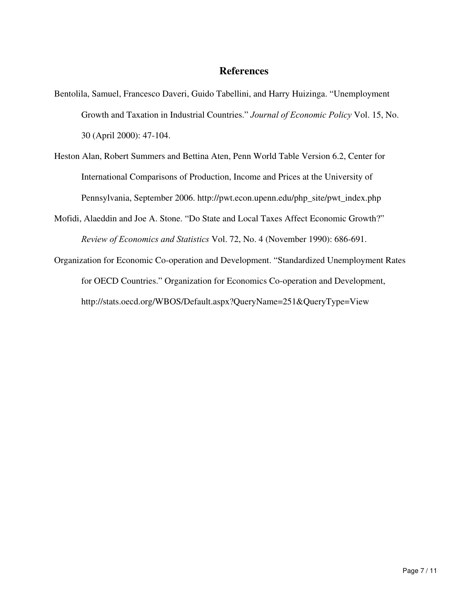# **References**

- Bentolila, Samuel, Francesco Daveri, Guido Tabellini, and Harry Huizinga. "Unemployment Growth and Taxation in Industrial Countries." *Journal of Economic Policy* Vol. 15, No. 30 (April 2000): 47-104.
- Heston Alan, Robert Summers and Bettina Aten, Penn World Table Version 6.2, Center for International Comparisons of Production, Income and Prices at the University of Pennsylvania, September 2006. http://pwt.econ.upenn.edu/php\_site/pwt\_index.php
- Mofidi, Alaeddin and Joe A. Stone. "Do State and Local Taxes Affect Economic Growth?" *Review of Economics and Statistics* Vol. 72, No. 4 (November 1990): 686-691.
- Organization for Economic Co-operation and Development. "Standardized Unemployment Rates for OECD Countries." Organization for Economics Co-operation and Development, http://stats.oecd.org/WBOS/Default.aspx?QueryName=251&QueryType=View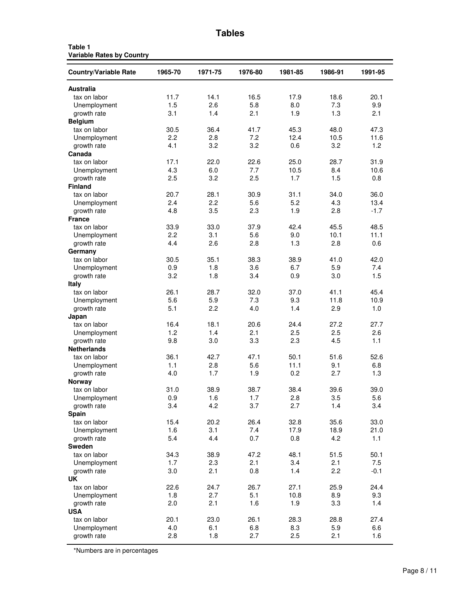| Ω<br>Ι<br>c<br>ı<br>г. |  |
|------------------------|--|
|------------------------|--|

| Table 1                          |  |  |
|----------------------------------|--|--|
| <b>Variable Rates by Country</b> |  |  |

| <b>Country/Variable Rate</b> | 1965-70 | 1971-75 | 1976-80 | 1981-85 | 1986-91 | 1991-95 |
|------------------------------|---------|---------|---------|---------|---------|---------|
| <b>Australia</b>             |         |         |         |         |         |         |
| tax on labor                 | 11.7    | 14.1    | 16.5    | 17.9    | 18.6    | 20.1    |
| Unemployment                 | 1.5     | 2.6     | 5.8     | 8.0     | 7.3     | 9.9     |
| growth rate                  | 3.1     | 1.4     | 2.1     | 1.9     | 1.3     | 2.1     |
| <b>Belgium</b>               |         |         |         |         |         |         |
| tax on labor                 | 30.5    | 36.4    | 41.7    | 45.3    | 48.0    | 47.3    |
| Unemployment                 | 2.2     | 2.8     | 7.2     | 12.4    | 10.5    | 11.6    |
| growth rate                  | 4.1     | 3.2     | 3.2     | 0.6     | 3.2     | 1.2     |
| Canada                       |         |         |         |         |         |         |
| tax on labor                 | 17.1    | 22.0    | 22.6    | 25.0    | 28.7    | 31.9    |
| Unemployment                 | 4.3     | 6.0     | 7.7     | 10.5    | 8.4     | 10.6    |
| growth rate                  | 2.5     | 3.2     | 2.5     | 1.7     | 1.5     | 0.8     |
| <b>Finland</b>               |         |         |         |         |         |         |
| tax on labor                 | 20.7    | 28.1    | 30.9    | 31.1    | 34.0    | 36.0    |
| Unemployment                 | 2.4     | 2.2     | 5.6     | 5.2     | 4.3     | 13.4    |
| growth rate                  | 4.8     | 3.5     | 2.3     | 1.9     | 2.8     | $-1.7$  |
| <b>France</b>                |         |         |         |         |         |         |
| tax on labor                 | 33.9    | 33.0    | 37.9    | 42.4    | 45.5    | 48.5    |
| Unemployment                 | 2.2     | 3.1     | 5.6     | 9.0     | 10.1    | 11.1    |
| growth rate                  | 4.4     | 2.6     | 2.8     | 1.3     | 2.8     | 0.6     |
| Germany                      |         |         |         |         |         |         |
| tax on labor                 | 30.5    | 35.1    | 38.3    | 38.9    | 41.0    | 42.0    |
| Unemployment                 | 0.9     | 1.8     | 3.6     | 6.7     | 5.9     | 7.4     |
| growth rate                  | 3.2     | 1.8     | 3.4     | 0.9     | 3.0     | 1.5     |
| <b>Italy</b>                 |         |         |         |         |         |         |
| tax on labor                 | 26.1    | 28.7    | 32.0    | 37.0    | 41.1    | 45.4    |
| Unemployment                 | 5.6     | 5.9     | 7.3     | 9.3     | 11.8    | 10.9    |
| growth rate                  | 5.1     | 2.2     | 4.0     | 1.4     | 2.9     | 1.0     |
| Japan                        |         |         |         |         |         |         |
| tax on labor                 | 16.4    | 18.1    | 20.6    | 24.4    | 27.2    | 27.7    |
| Unemployment                 | 1.2     | 1.4     | 2.1     | 2.5     | 2.5     | 2.6     |
| growth rate                  | 9.8     | 3.0     | 3.3     | 2.3     | 4.5     | 1.1     |
| <b>Netherlands</b>           |         |         |         |         |         |         |
| tax on labor                 | 36.1    | 42.7    | 47.1    | 50.1    | 51.6    | 52.6    |
| Unemployment                 | 1.1     | 2.8     | 5.6     | 11.1    | 9.1     | 6.8     |
| growth rate                  | 4.0     | 1.7     | 1.9     | 0.2     | 2.7     | 1.3     |
| <b>Norway</b>                |         |         |         |         |         |         |
| tax on labor                 | 31.0    | 38.9    | 38.7    | 38.4    | 39.6    | 39.0    |
| Unemployment                 | 0.9     | 1.6     | 1.7     | 2.8     | 3.5     | 5.6     |
| growth rate                  | 3.4     | 4.2     | 3.7     | 2.7     | 1.4     | 3.4     |
| Spain                        |         |         |         |         |         |         |
| tax on labor                 | 15.4    | 20.2    | 26.4    | 32.8    | 35.6    | 33.0    |
| Unemployment                 | 1.6     | 3.1     | 7.4     | 17.9    | 18.9    | 21.0    |
| growth rate                  | 5.4     | 4.4     | 0.7     | 0.8     | 4.2     | 1.1     |
| Sweden                       |         |         |         |         |         |         |
| tax on labor                 | 34.3    | 38.9    | 47.2    | 48.1    | 51.5    | 50.1    |
| Unemployment                 | 1.7     | 2.3     | 2.1     | 3.4     | 2.1     | 7.5     |
| growth rate                  | 3.0     | 2.1     | 0.8     | 1.4     | 2.2     | $-0.1$  |
| UK.                          |         |         |         |         |         |         |
| tax on labor                 | 22.6    | 24.7    | 26.7    | 27.1    | 25.9    | 24.4    |
| Unemployment                 | 1.8     | 2.7     | 5.1     | 10.8    | 8.9     | 9.3     |
| growth rate                  | 2.0     | 2.1     | 1.6     | 1.9     | 3.3     | 1.4     |
| <b>USA</b>                   |         |         |         |         |         |         |
| tax on labor                 | 20.1    | 23.0    | 26.1    | 28.3    | 28.8    | 27.4    |
| Unemployment                 | 4.0     | 6.1     | 6.8     | 8.3     | 5.9     | 6.6     |
| growth rate                  | 2.8     | 1.8     | 2.7     | 2.5     | 2.1     | 1.6     |

\*Numbers are in percentages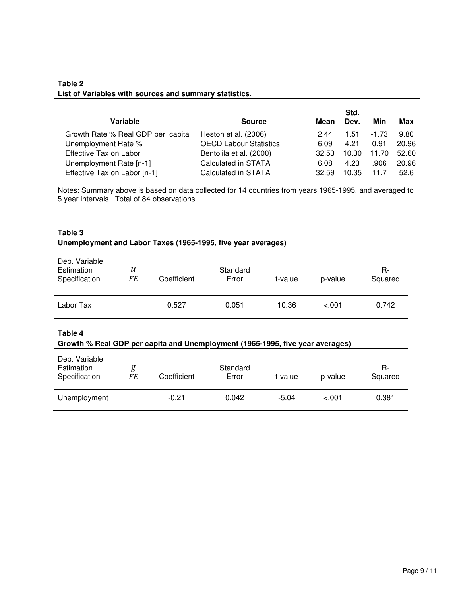## **Table 2 List of Variables with sources and summary statistics.**

|                                   |                               |       | Std.  |         |       |
|-----------------------------------|-------------------------------|-------|-------|---------|-------|
| Variable                          | <b>Source</b>                 | Mean  | Dev.  | Min     | Max   |
| Growth Rate % Real GDP per capita | Heston et al. (2006)          | 2.44  | 1.51  | $-1.73$ | 9.80  |
| Unemployment Rate %               | <b>OECD Labour Statistics</b> | 6.09  | 4.21  | 0.91    | 20.96 |
| Effective Tax on Labor            | Bentolila et al. (2000)       | 32.53 | 10.30 | 11.70   | 52.60 |
| Unemployment Rate [n-1]           | Calculated in STATA           | 6.08  | 4.23  | .906    | 20.96 |
| Effective Tax on Labor [n-1]      | Calculated in STATA           | 32.59 | 10.35 | 11.7    | 52.6  |
|                                   |                               |       |       |         |       |

Notes: Summary above is based on data collected for 14 countries from years 1965-1995, and averaged to 5 year intervals. Total of 84 observations.

#### **Table 3 Unemployment and Labor Taxes (1965-1995, five year averages)**

| Dep. Variable<br>Estimation<br>Specification | $\boldsymbol{u}$<br>FE | Coefficient | Standard<br>Error | t-value | p-value | R-<br>Squared |
|----------------------------------------------|------------------------|-------------|-------------------|---------|---------|---------------|
| Labor Tax                                    |                        | 0.527       | 0.051             | 10.36   | $-.001$ | 0.742         |

**Table 4**

#### **Growth % Real GDP per capita and Unemployment (1965-1995, five year averages)**

| Dep. Variable<br>Estimation<br>Specification | FE | Coefficient | Standard<br>Error | t-value | p-value | R-<br>Squared |
|----------------------------------------------|----|-------------|-------------------|---------|---------|---------------|
| Unemployment                                 |    | $-0.21$     | 0.042             | $-5.04$ | $-.001$ | 0.381         |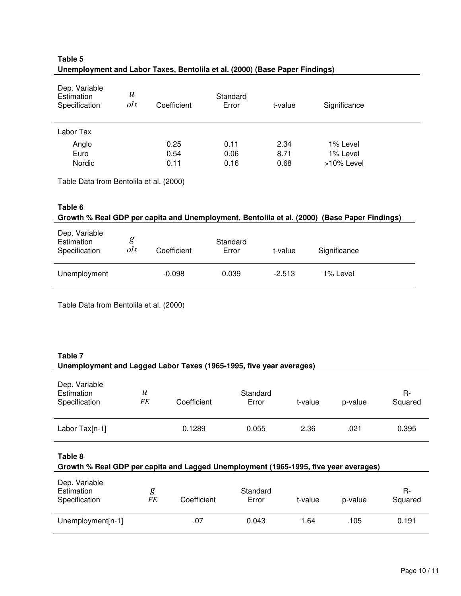| Dep. Variable<br>Estimation<br>Specification | $\boldsymbol{u}$<br>ols | Coefficient | Standard<br>Error | t-value | Significance |  |
|----------------------------------------------|-------------------------|-------------|-------------------|---------|--------------|--|
| Labor Tax                                    |                         |             |                   |         |              |  |
| Anglo                                        |                         | 0.25        | 0.11              | 2.34    | 1% Level     |  |
| Euro                                         |                         | 0.54        | 0.06              | 8.71    | 1% Level     |  |
| Nordic                                       |                         | 0.11        | 0.16              | 0.68    | >10% Level   |  |

## **Table 5 Unemployment and Labor Taxes, Bentolila et al. (2000) (Base Paper Findings)**

Table Data from Bentolila et al. (2000)

#### **Table 6**

| Growth % Real GDP per capita and Unemployment, Bentolila et al. (2000) (Base Paper Findings) |          |             |                   |          |              |  |  |
|----------------------------------------------------------------------------------------------|----------|-------------|-------------------|----------|--------------|--|--|
| Dep. Variable<br>Estimation<br>Specification                                                 | g<br>ols | Coefficient | Standard<br>Error | t-value  | Significance |  |  |
| Unemployment                                                                                 |          | $-0.098$    | 0.039             | $-2.513$ | 1% Level     |  |  |

Table Data from Bentolila et al. (2000)

## **Table 7 Unemployment and Lagged Labor Taxes (1965-1995, five year averages)**

| Dep. Variable<br>Estimation<br>Specification                                                    | $\boldsymbol{u}$<br><b>FE</b> | Coefficient | Standard<br>Error | t-value | p-value | R-<br>Squared |
|-------------------------------------------------------------------------------------------------|-------------------------------|-------------|-------------------|---------|---------|---------------|
| Labor Tax[n-1]                                                                                  |                               | 0.1289      | 0.055             | 2.36    | .021    | 0.395         |
| Table 8<br>Growth % Real GDP per capita and Lagged Unemployment (1965-1995, five year averages) |                               |             |                   |         |         |               |
| Dep. Variable<br>Estimation<br>Specification                                                    | g<br><b>FE</b>                | Coefficient | Standard<br>Error | t-value | p-value | R-<br>Squared |
| Unemployment[n-1]                                                                               |                               | .07         | 0.043             | 1.64    | .105    | 0.191         |